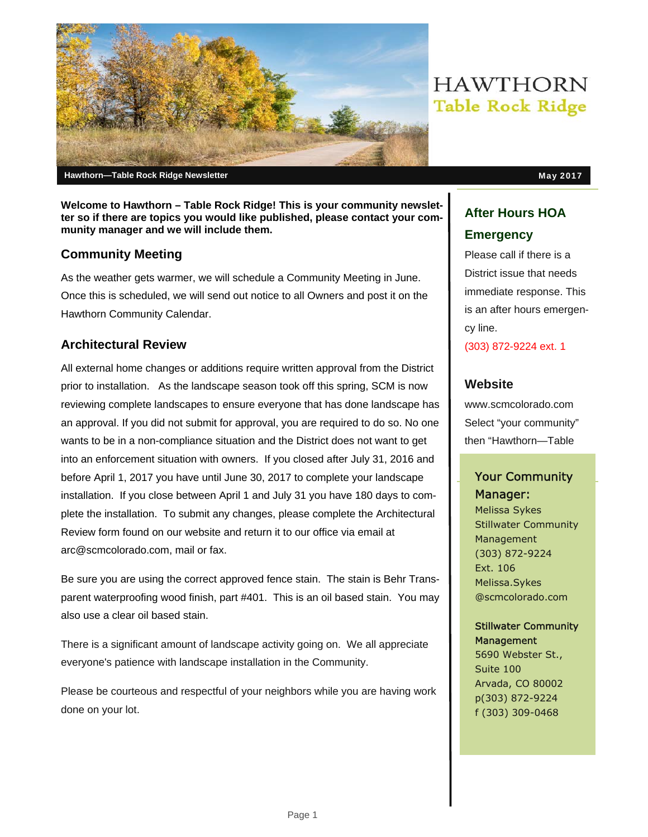

**Welcome to Hawthorn – Table Rock Ridge! This is your community newsletter so if there are topics you would like published, please contact your com-**

#### **Community Meeting**

**munity manager and we will include them.** 

As the weather gets warmer, we will schedule a Community Meeting in June. Once this is scheduled, we will send out notice to all Owners and post it on the Hawthorn Community Calendar.

## **Architectural Review**

All external home changes or additions require written approval from the District prior to installation. As the landscape season took off this spring, SCM is now reviewing complete landscapes to ensure everyone that has done landscape has an approval. If you did not submit for approval, you are required to do so. No one wants to be in a non-compliance situation and the District does not want to get into an enforcement situation with owners. If you closed after July 31, 2016 and before April 1, 2017 you have until June 30, 2017 to complete your landscape installation. If you close between April 1 and July 31 you have 180 days to complete the installation. To submit any changes, please complete the Architectural Review form found on our website and return it to our office via email at arc@scmcolorado.com, mail or fax.

Be sure you are using the correct approved fence stain. The stain is Behr Transparent waterproofing wood finish, part #401. This is an oil based stain. You may also use a clear oil based stain.

There is a significant amount of landscape activity going on. We all appreciate everyone's patience with landscape installation in the Community.

Please be courteous and respectful of your neighbors while you are having work done on your lot.

# **HAWTHORN Table Rock Ridge**

## **After Hours HOA Emergency**

Please call if there is a District issue that needs immediate response. This is an after hours emergency line.

(303) 872-9224 ext. 1

## **Website**

www.scmcolorado.com Select "your community" then "Hawthorn—Table

## Your Community Manager:

Melissa Sykes Stillwater Community Management (303) 872-9224 Ext. 106 Melissa.Sykes @scmcolorado.com

#### Stillwater Community **Management**

5690 Webster St., Suite 100 Arvada, CO 80002 p(303) 872-9224 f (303) 309-0468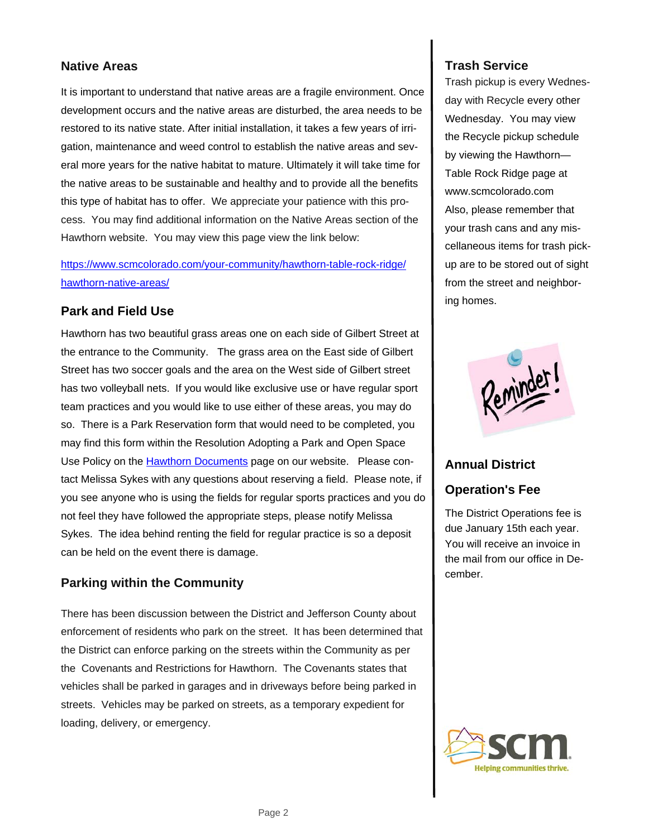#### **Native Areas**

It is important to understand that native areas are a fragile environment. Once development occurs and the native areas are disturbed, the area needs to be restored to its native state. After initial installation, it takes a few years of irrigation, maintenance and weed control to establish the native areas and several more years for the native habitat to mature. Ultimately it will take time for the native areas to be sustainable and healthy and to provide all the benefits this type of habitat has to offer. We appreciate your patience with this process. You may find additional information on the Native Areas section of the Hawthorn website. You may view this page view the link below:

https://www.scmcolorado.com/your-community/hawthorn-table-rock-ridge/ hawthorn-native-areas/

#### **Park and Field Use**

Hawthorn has two beautiful grass areas one on each side of Gilbert Street at the entrance to the Community. The grass area on the East side of Gilbert Street has two soccer goals and the area on the West side of Gilbert street has two volleyball nets. If you would like exclusive use or have regular sport team practices and you would like to use either of these areas, you may do so. There is a Park Reservation form that would need to be completed, you may find this form within the Resolution Adopting a Park and Open Space Use Policy on the Hawthorn Documents page on our website. Please contact Melissa Sykes with any questions about reserving a field. Please note, if you see anyone who is using the fields for regular sports practices and you do not feel they have followed the appropriate steps, please notify Melissa Sykes. The idea behind renting the field for regular practice is so a deposit can be held on the event there is damage.

#### **Parking within the Community**

There has been discussion between the District and Jefferson County about enforcement of residents who park on the street. It has been determined that the District can enforce parking on the streets within the Community as per the Covenants and Restrictions for Hawthorn. The Covenants states that vehicles shall be parked in garages and in driveways before being parked in streets. Vehicles may be parked on streets, as a temporary expedient for loading, delivery, or emergency.

#### **Trash Service**

Trash pickup is every Wednesday with Recycle every other Wednesday. You may view the Recycle pickup schedule by viewing the Hawthorn— Table Rock Ridge page at www.scmcolorado.com Also, please remember that your trash cans and any miscellaneous items for trash pickup are to be stored out of sight from the street and neighboring homes.



#### **Annual District**

#### **Operation's Fee**

The District Operations fee is due January 15th each year. You will receive an invoice in the mail from our office in December.

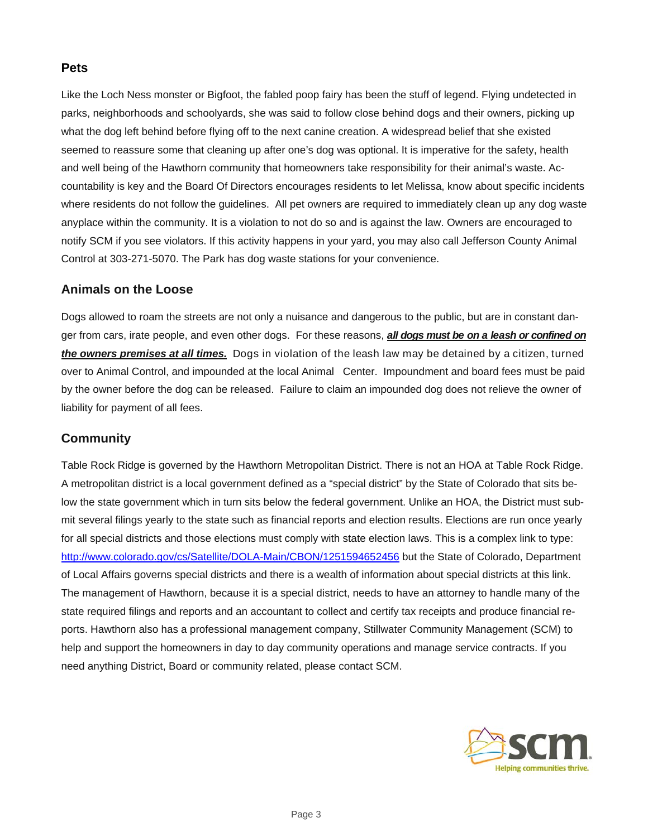#### **Pets**

Like the Loch Ness monster or Bigfoot, the fabled poop fairy has been the stuff of legend. Flying undetected in parks, neighborhoods and schoolyards, she was said to follow close behind dogs and their owners, picking up what the dog left behind before flying off to the next canine creation. A widespread belief that she existed seemed to reassure some that cleaning up after one's dog was optional. It is imperative for the safety, health and well being of the Hawthorn community that homeowners take responsibility for their animal's waste. Accountability is key and the Board Of Directors encourages residents to let Melissa, know about specific incidents where residents do not follow the guidelines. All pet owners are required to immediately clean up any dog waste anyplace within the community. It is a violation to not do so and is against the law. Owners are encouraged to notify SCM if you see violators. If this activity happens in your yard, you may also call Jefferson County Animal Control at 303-271-5070. The Park has dog waste stations for your convenience.

#### **Animals on the Loose**

Dogs allowed to roam the streets are not only a nuisance and dangerous to the public, but are in constant danger from cars, irate people, and even other dogs. For these reasons, *all dogs must be on a leash or confined on the owners premises at all times.* Dogs in violation of the leash law may be detained by a citizen, turned over to Animal Control, and impounded at the local Animal Center. Impoundment and board fees must be paid by the owner before the dog can be released. Failure to claim an impounded dog does not relieve the owner of liability for payment of all fees.

#### **Community**

Table Rock Ridge is governed by the Hawthorn Metropolitan District. There is not an HOA at Table Rock Ridge. A metropolitan district is a local government defined as a "special district" by the State of Colorado that sits below the state government which in turn sits below the federal government. Unlike an HOA, the District must submit several filings yearly to the state such as financial reports and election results. Elections are run once yearly for all special districts and those elections must comply with state election laws. This is a complex link to type: http://www.colorado.gov/cs/Satellite/DOLA-Main/CBON/1251594652456 but the State of Colorado, Department of Local Affairs governs special districts and there is a wealth of information about special districts at this link. The management of Hawthorn, because it is a special district, needs to have an attorney to handle many of the state required filings and reports and an accountant to collect and certify tax receipts and produce financial reports. Hawthorn also has a professional management company, Stillwater Community Management (SCM) to help and support the homeowners in day to day community operations and manage service contracts. If you need anything District, Board or community related, please contact SCM.